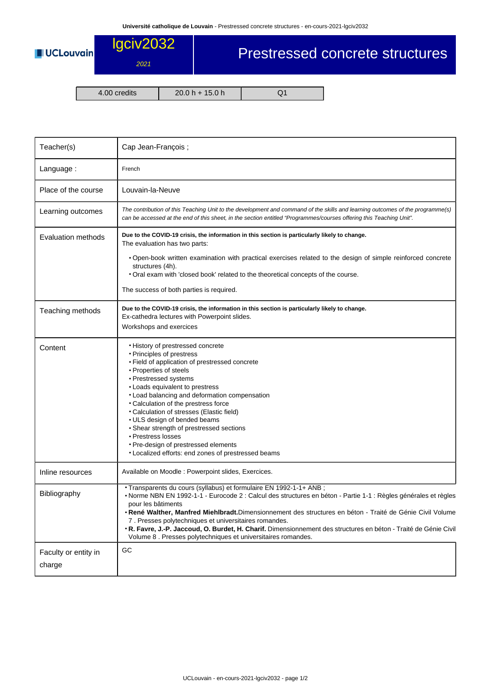

## Prestressed concrete structures

2021

4.00 credits 20.0 h + 15.0 h Q1

| Teacher(s)                     | Cap Jean-François;                                                                                                                                                                                                                                                                                                                                                                                                                                                                                                                                                      |  |  |  |  |
|--------------------------------|-------------------------------------------------------------------------------------------------------------------------------------------------------------------------------------------------------------------------------------------------------------------------------------------------------------------------------------------------------------------------------------------------------------------------------------------------------------------------------------------------------------------------------------------------------------------------|--|--|--|--|
| Language:                      | French                                                                                                                                                                                                                                                                                                                                                                                                                                                                                                                                                                  |  |  |  |  |
| Place of the course            | Louvain-la-Neuve                                                                                                                                                                                                                                                                                                                                                                                                                                                                                                                                                        |  |  |  |  |
| Learning outcomes              | The contribution of this Teaching Unit to the development and command of the skills and learning outcomes of the programme(s)<br>can be accessed at the end of this sheet, in the section entitled "Programmes/courses offering this Teaching Unit".                                                                                                                                                                                                                                                                                                                    |  |  |  |  |
| Evaluation methods             | Due to the COVID-19 crisis, the information in this section is particularly likely to change.<br>The evaluation has two parts:                                                                                                                                                                                                                                                                                                                                                                                                                                          |  |  |  |  |
|                                | . Open-book written examination with practical exercises related to the design of simple reinforced concrete<br>structures (4h).<br>. Oral exam with 'closed book' related to the theoretical concepts of the course.                                                                                                                                                                                                                                                                                                                                                   |  |  |  |  |
|                                | The success of both parties is required.                                                                                                                                                                                                                                                                                                                                                                                                                                                                                                                                |  |  |  |  |
| Teaching methods               | Due to the COVID-19 crisis, the information in this section is particularly likely to change.<br>Ex-cathedra lectures with Powerpoint slides.<br>Workshops and exercices                                                                                                                                                                                                                                                                                                                                                                                                |  |  |  |  |
| Content                        | • History of prestressed concrete<br>• Principles of prestress<br>• Field of application of prestressed concrete<br>• Properties of steels<br>• Prestressed systems<br>• Loads equivalent to prestress<br>• Load balancing and deformation compensation<br>• Calculation of the prestress force<br>• Calculation of stresses (Elastic field)<br>• ULS design of bended beams<br>• Shear strength of prestressed sections<br>• Prestress losses<br>• Pre-design of prestressed elements<br>• Localized efforts: end zones of prestressed beams                           |  |  |  |  |
| Inline resources               | Available on Moodle: Powerpoint slides, Exercices.                                                                                                                                                                                                                                                                                                                                                                                                                                                                                                                      |  |  |  |  |
| Bibliography                   | · Transparents du cours (syllabus) et formulaire EN 1992-1-1+ ANB ;<br>• Norme NBN EN 1992-1-1 - Eurocode 2 : Calcul des structures en béton - Partie 1-1 : Règles générales et règles<br>pour les bâtiments<br>. René Walther, Manfred Miehlbradt. Dimensionnement des structures en béton - Traité de Génie Civil Volume<br>7. Presses polytechniques et universitaires romandes.<br>. R. Favre, J.-P. Jaccoud, O. Burdet, H. Charif. Dimensionnement des structures en béton - Traité de Génie Civil<br>Volume 8. Presses polytechniques et universitaires romandes. |  |  |  |  |
| Faculty or entity in<br>charge | GC                                                                                                                                                                                                                                                                                                                                                                                                                                                                                                                                                                      |  |  |  |  |